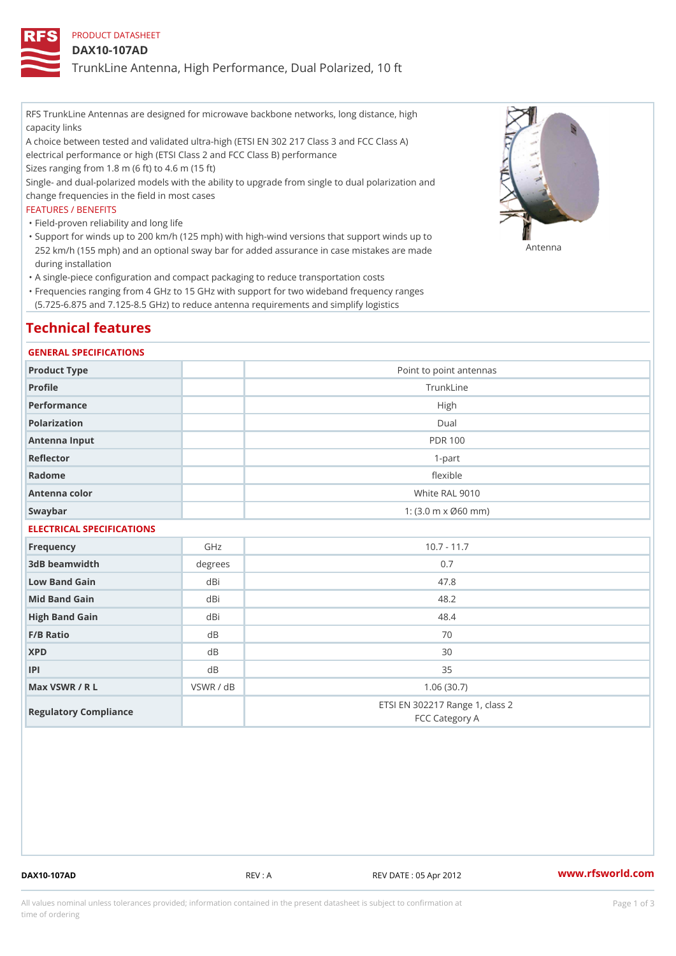## PRODUCT DATASHEET

### DAX10-107AD

TrunkLine Antenna, High Performance, Dual Polarized, 10 ft

RFS TrunkLine Antennas are designed for microwave backbone networks, long distance, high capacity links

A choice between tested and validated ultra-high (ETSI EN 302 217 Class 3 and FCC Class A) electrical performance or high (ETSI Class 2 and FCC Class B) performance

Sizes ranging from 1.8 m (6 ft) to 4.6 m (15 ft)

Single- and dual-polarized models with the ability to upgrade from single to dual polarization and change frequencies in the field in most cases

### FEATURES / BENEFITS

"Field-proven reliability and long life

- Support for winds up to 200 km/h (125 mph) with high-wind versions that support winds up to " 252 km/h (155 mph) and an optional sway bar for added assurance in case m S # \$ R & B are made during installation
- "A single-piece configuration and compact packaging to reduce transportation costs
- Frequencies ranging from 4 GHz to 15 GHz with support for two wideband frequency ranges " (5.725-6.875 and 7.125-8.5 GHz) to reduce antenna requirements and simplify logistics

# Technical features

### GENERAL SPECIFICATIONS

| Product Type  | Point to point antennas                                 |  |  |  |
|---------------|---------------------------------------------------------|--|--|--|
| Profile       | TrunkLine                                               |  |  |  |
| Performance   | High                                                    |  |  |  |
| Polarization  | $D$ ual                                                 |  |  |  |
| Antenna Input | <b>PDR 100</b>                                          |  |  |  |
| Reflector     | $1-part$                                                |  |  |  |
| Radome        | flexible                                                |  |  |  |
| Antenna color | White RAL 9010                                          |  |  |  |
| Swaybar       | 1: $(3.0 \, \text{m} \times \emptyset 60 \, \text{mm})$ |  |  |  |
|               |                                                         |  |  |  |

## ELECTRICAL SPECIFICATIONS

| Frequency             | GHz       | $10.7 - 11.7$                                     |
|-----------------------|-----------|---------------------------------------------------|
| 3dB beamwidth         | degrees   | 0.7                                               |
| Low Band Gain         | dBi       | 47.8                                              |
| Mid Band Gain         | dBi       | 48.2                                              |
| High Band Gain        | dBi       | 48.4                                              |
| $F/B$ Ratio           | d B       | 70                                                |
| <b>XPD</b>            | d B       | 30                                                |
| P                     | d B       | 35                                                |
| Max VSWR / R L        | VSWR / dB | 1.06(30.7)                                        |
| Regulatory Compliance |           | ETSI EN 302217 Range 1, class 2<br>FCC Category A |

DAX10-107AD REV : A REV DATE : 05 Apr 2012 [www.](https://www.rfsworld.com)rfsworld.com

All values nominal unless tolerances provided; information contained in the present datasheet is subject to Pcapgeign mation time of ordering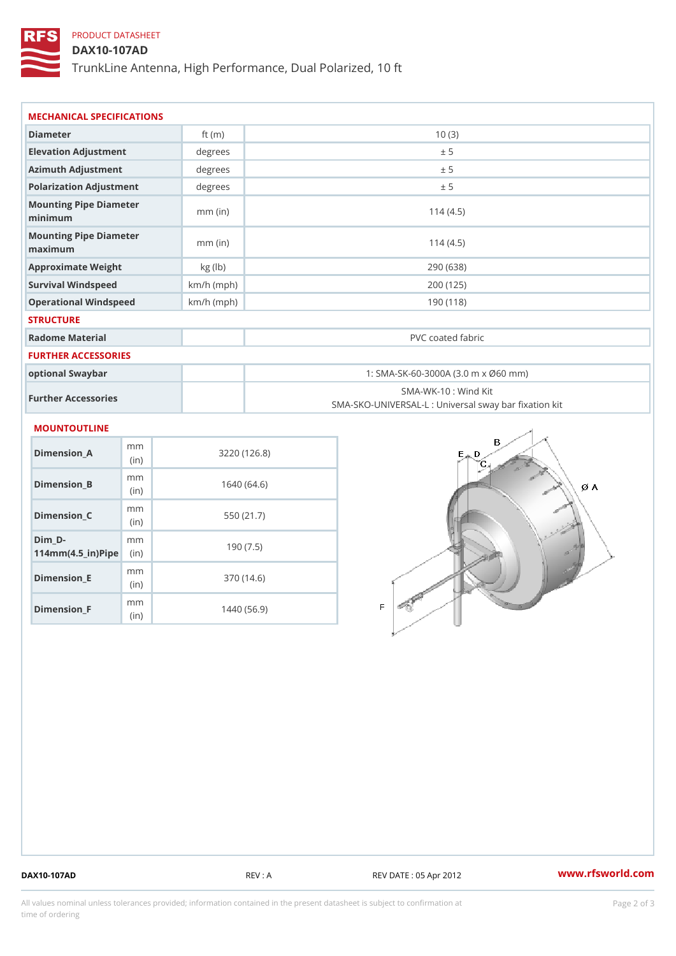# PRODUCT DATASHEET

DAX10-107AD

TrunkLine Antenna, High Performance, Dual Polarized, 10 ft

| MECHANICAL SPECIFICATIONS                                                 |              |                                                                          |                                     |  |
|---------------------------------------------------------------------------|--------------|--------------------------------------------------------------------------|-------------------------------------|--|
| Diameter                                                                  | ft $(m)$     | 10(3)                                                                    |                                     |  |
| Elevation Adjustment                                                      | degrees      | ± 5                                                                      |                                     |  |
| Azimuth Adjustment                                                        | degrees      | ± 5                                                                      |                                     |  |
| Polarization Adjustment                                                   | degree       | ± 5                                                                      |                                     |  |
| Mounting Pipe Diameter<br>minimum                                         | $mm$ (in)    | 114(4.5)                                                                 |                                     |  |
| Mounting Pipe Diameter<br>maximum                                         | $mm$ (in)    | 114(4.5)                                                                 |                                     |  |
| Approximate Weight                                                        | kg (lb)      | 290 (638)                                                                |                                     |  |
| Survival Windspeed                                                        | $km/h$ (mph) | 200 (125)                                                                |                                     |  |
| Operational Windspeed                                                     | $km/h$ (mph) | 190 (118)                                                                |                                     |  |
| <b>STRUCTURE</b>                                                          |              |                                                                          |                                     |  |
| Radome Material                                                           |              | PVC coated fabric                                                        |                                     |  |
| FURTHER ACCESSORIES                                                       |              |                                                                          |                                     |  |
| optional Swaybar                                                          |              |                                                                          | 1: SMA-SK-60-3000A (3.0 m x Ø60 mm) |  |
| Further Accessories                                                       |              | SMA-WK-10: Wind Kit<br>SMA-SKO-UNIVERSAL-L : Universal sway bar fixation |                                     |  |
| <b>MOUNTOUTLINE</b>                                                       |              |                                                                          |                                     |  |
| m m<br>$Dimension_A$<br>(in)                                              |              | 3220 (126.8)                                                             |                                     |  |
| m <sub>m</sub><br>$Dimension_B$<br>(in)                                   |              | 1640(64.6)                                                               |                                     |  |
| m m<br>Dimension_C<br>(in)                                                |              | 550 (21.7)                                                               |                                     |  |
| $Dim_D - D -$<br>m m<br>$114$ m m (4.5 _ ir ) $\sqrt{$ im $\cdot$ $\cdot$ |              | 190(7.5)                                                                 |                                     |  |

Dimension\_E

Dimension\_F

mm (in)

m<sub>m</sub> (in)

370 (14.6)

1440 (56.9)

DAX10-107AD REV : A REV DATE : 05 Apr 2012 [www.](https://www.rfsworld.com)rfsworld.com